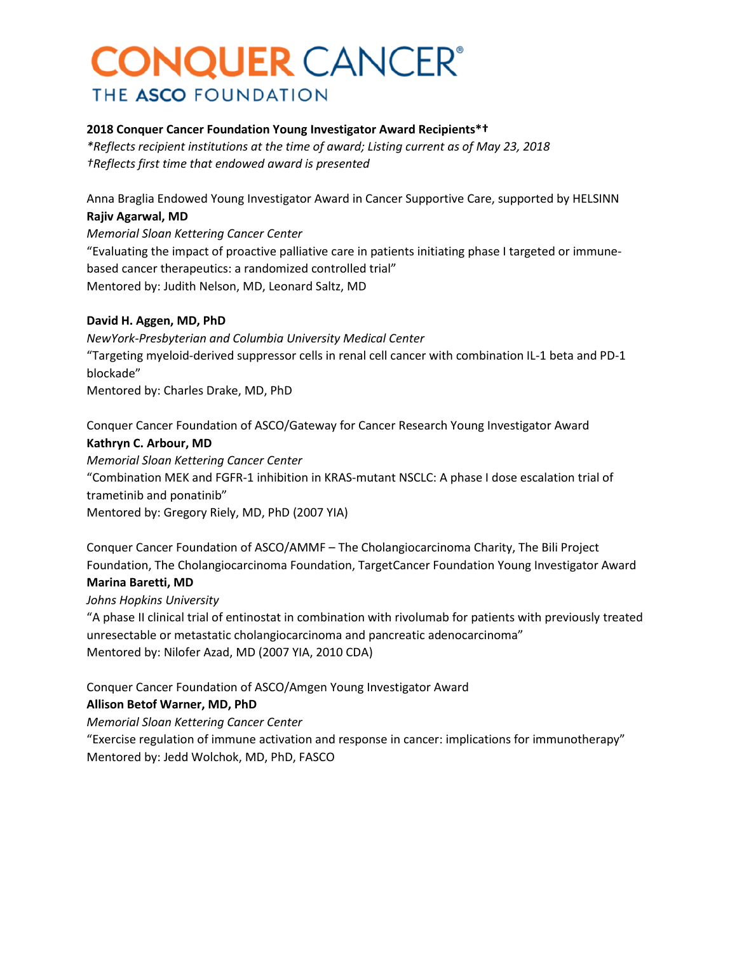#### **2018 Conquer Cancer Foundation Young Investigator Award Recipients\*†**

*\*Reflects recipient institutions at the time of award; Listing current as of May 23, 2018 †Reflects first time that endowed award is presented*

Anna Braglia Endowed Young Investigator Award in Cancer Supportive Care, supported by HELSINN **Rajiv Agarwal, MD**

*Memorial Sloan Kettering Cancer Center* "Evaluating the impact of proactive palliative care in patients initiating phase I targeted or immunebased cancer therapeutics: a randomized controlled trial" Mentored by: Judith Nelson, MD, Leonard Saltz, MD

#### **David H. Aggen, MD, PhD**

*NewYork-Presbyterian and Columbia University Medical Center* "Targeting myeloid-derived suppressor cells in renal cell cancer with combination IL-1 beta and PD-1 blockade" Mentored by: Charles Drake, MD, PhD

Conquer Cancer Foundation of ASCO/Gateway for Cancer Research Young Investigator Award **Kathryn C. Arbour, MD** *Memorial Sloan Kettering Cancer Center*

"Combination MEK and FGFR-1 inhibition in KRAS-mutant NSCLC: A phase I dose escalation trial of trametinib and ponatinib" Mentored by: Gregory Riely, MD, PhD (2007 YIA)

Conquer Cancer Foundation of ASCO/AMMF – The Cholangiocarcinoma Charity, The Bili Project Foundation, The Cholangiocarcinoma Foundation, TargetCancer Foundation Young Investigator Award **Marina Baretti, MD**

#### *Johns Hopkins University*

"A phase II clinical trial of entinostat in combination with rivolumab for patients with previously treated unresectable or metastatic cholangiocarcinoma and pancreatic adenocarcinoma" Mentored by: Nilofer Azad, MD (2007 YIA, 2010 CDA)

Conquer Cancer Foundation of ASCO/Amgen Young Investigator Award

#### **Allison Betof Warner, MD, PhD**

*Memorial Sloan Kettering Cancer Center*

"Exercise regulation of immune activation and response in cancer: implications for immunotherapy" Mentored by: Jedd Wolchok, MD, PhD, FASCO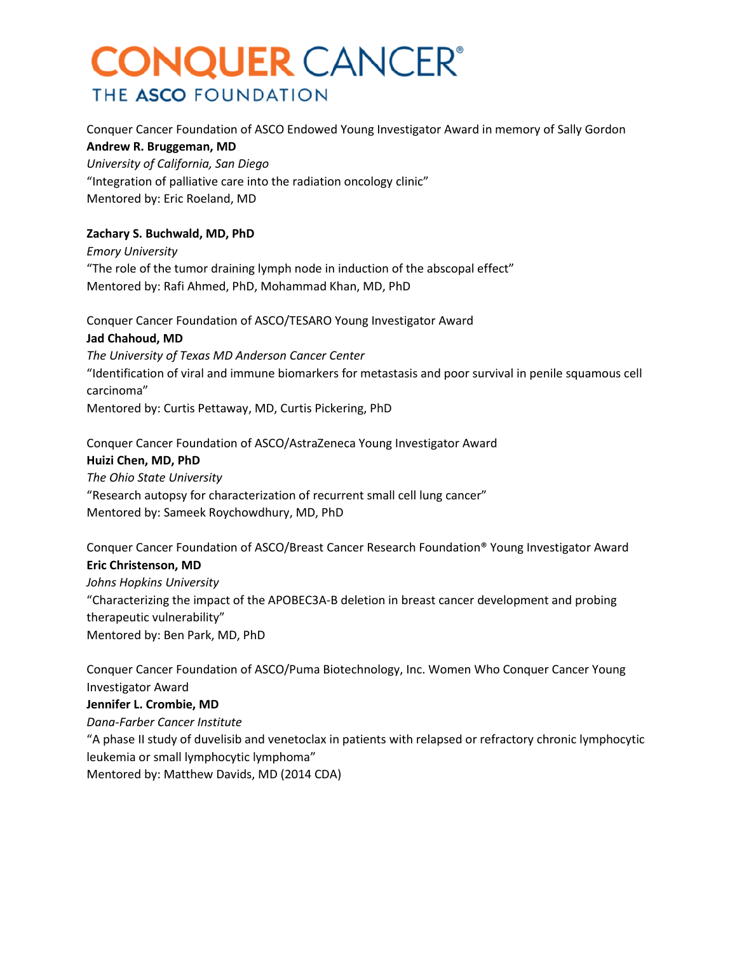Conquer Cancer Foundation of ASCO Endowed Young Investigator Award in memory of Sally Gordon **Andrew R. Bruggeman, MD** *University of California, San Diego* "Integration of palliative care into the radiation oncology clinic"

Mentored by: Eric Roeland, MD

#### **Zachary S. Buchwald, MD, PhD**

*Emory University* "The role of the tumor draining lymph node in induction of the abscopal effect" Mentored by: Rafi Ahmed, PhD, Mohammad Khan, MD, PhD

Conquer Cancer Foundation of ASCO/TESARO Young Investigator Award **Jad Chahoud, MD** *The University of Texas MD Anderson Cancer Center* "Identification of viral and immune biomarkers for metastasis and poor survival in penile squamous cell carcinoma" Mentored by: Curtis Pettaway, MD, Curtis Pickering, PhD

Conquer Cancer Foundation of ASCO/AstraZeneca Young Investigator Award **Huizi Chen, MD, PhD** *The Ohio State University* "Research autopsy for characterization of recurrent small cell lung cancer" Mentored by: Sameek Roychowdhury, MD, PhD

Conquer Cancer Foundation of ASCO/Breast Cancer Research Foundation® Young Investigator Award **Eric Christenson, MD**

*Johns Hopkins University* "Characterizing the impact of the APOBEC3A-B deletion in breast cancer development and probing therapeutic vulnerability" Mentored by: Ben Park, MD, PhD

Conquer Cancer Foundation of ASCO/Puma Biotechnology, Inc. Women Who Conquer Cancer Young Investigator Award

#### **Jennifer L. Crombie, MD**

*Dana-Farber Cancer Institute*

"A phase II study of duvelisib and venetoclax in patients with relapsed or refractory chronic lymphocytic leukemia or small lymphocytic lymphoma"

Mentored by: Matthew Davids, MD (2014 CDA)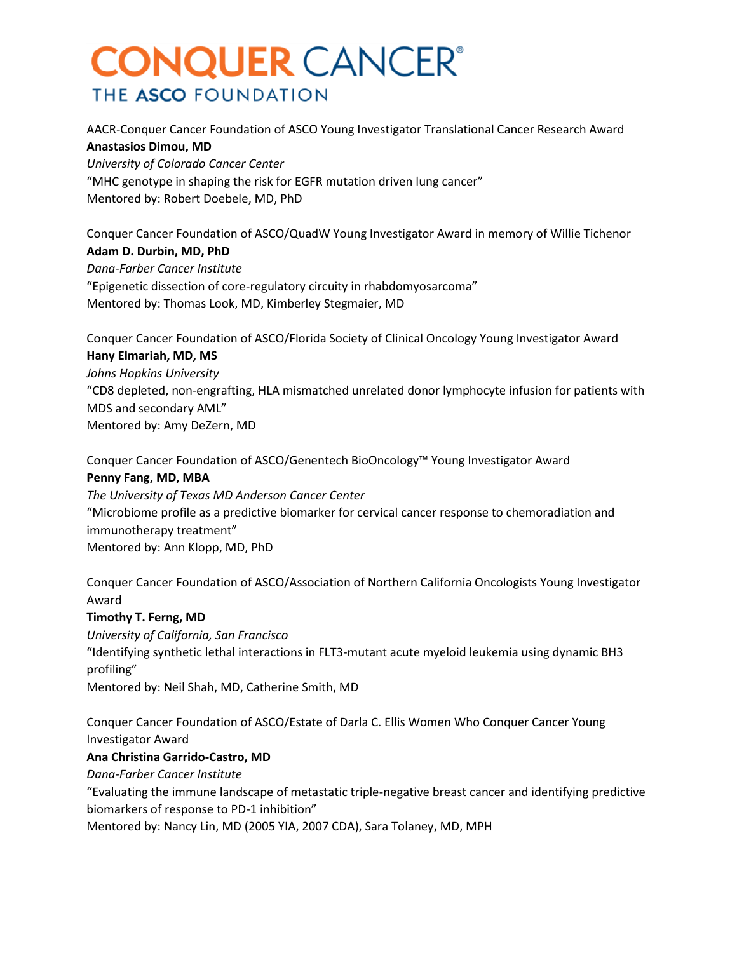AACR-Conquer Cancer Foundation of ASCO Young Investigator Translational Cancer Research Award **Anastasios Dimou, MD**

*University of Colorado Cancer Center* "MHC genotype in shaping the risk for EGFR mutation driven lung cancer" Mentored by: Robert Doebele, MD, PhD

Conquer Cancer Foundation of ASCO/QuadW Young Investigator Award in memory of Willie Tichenor **Adam D. Durbin, MD, PhD** *Dana-Farber Cancer Institute* "Epigenetic dissection of core-regulatory circuity in rhabdomyosarcoma" Mentored by: Thomas Look, MD, Kimberley Stegmaier, MD

Conquer Cancer Foundation of ASCO/Florida Society of Clinical Oncology Young Investigator Award **Hany Elmariah, MD, MS** *Johns Hopkins University* "CD8 depleted, non-engrafting, HLA mismatched unrelated donor lymphocyte infusion for patients with MDS and secondary AML" Mentored by: Amy DeZern, MD

Conquer Cancer Foundation of ASCO/Genentech BioOncology™ Young Investigator Award

### **Penny Fang, MD, MBA**

*The University of Texas MD Anderson Cancer Center* "Microbiome profile as a predictive biomarker for cervical cancer response to chemoradiation and immunotherapy treatment" Mentored by: Ann Klopp, MD, PhD

Conquer Cancer Foundation of ASCO/Association of Northern California Oncologists Young Investigator Award

#### **Timothy T. Ferng, MD**

*University of California, San Francisco* "Identifying synthetic lethal interactions in FLT3-mutant acute myeloid leukemia using dynamic BH3 profiling" Mentored by: Neil Shah, MD, Catherine Smith, MD

Conquer Cancer Foundation of ASCO/Estate of Darla C. Ellis Women Who Conquer Cancer Young Investigator Award

#### **Ana Christina Garrido-Castro, MD**

*Dana-Farber Cancer Institute*

"Evaluating the immune landscape of metastatic triple-negative breast cancer and identifying predictive biomarkers of response to PD-1 inhibition"

Mentored by: Nancy Lin, MD (2005 YIA, 2007 CDA), Sara Tolaney, MD, MPH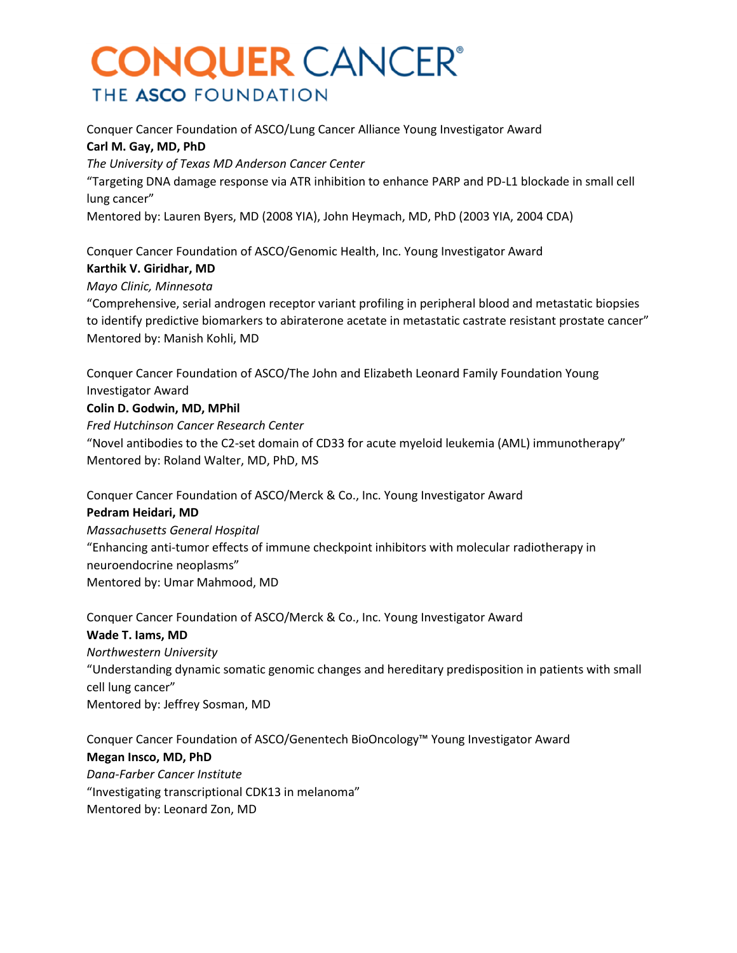Conquer Cancer Foundation of ASCO/Lung Cancer Alliance Young Investigator Award **Carl M. Gay, MD, PhD** *The University of Texas MD Anderson Cancer Center*

"Targeting DNA damage response via ATR inhibition to enhance PARP and PD-L1 blockade in small cell lung cancer"

Mentored by: Lauren Byers, MD (2008 YIA), John Heymach, MD, PhD (2003 YIA, 2004 CDA)

Conquer Cancer Foundation of ASCO/Genomic Health, Inc. Young Investigator Award **Karthik V. Giridhar, MD**

#### *Mayo Clinic, Minnesota*

"Comprehensive, serial androgen receptor variant profiling in peripheral blood and metastatic biopsies to identify predictive biomarkers to abiraterone acetate in metastatic castrate resistant prostate cancer" Mentored by: Manish Kohli, MD

Conquer Cancer Foundation of ASCO/The John and Elizabeth Leonard Family Foundation Young Investigator Award **Colin D. Godwin, MD, MPhil** *Fred Hutchinson Cancer Research Center* "Novel antibodies to the C2-set domain of CD33 for acute myeloid leukemia (AML) immunotherapy"

Mentored by: Roland Walter, MD, PhD, MS

Conquer Cancer Foundation of ASCO/Merck & Co., Inc. Young Investigator Award **Pedram Heidari, MD** *Massachusetts General Hospital* "Enhancing anti-tumor effects of immune checkpoint inhibitors with molecular radiotherapy in neuroendocrine neoplasms" Mentored by: Umar Mahmood, MD

Conquer Cancer Foundation of ASCO/Merck & Co., Inc. Young Investigator Award **Wade T. Iams, MD** *Northwestern University* "Understanding dynamic somatic genomic changes and hereditary predisposition in patients with small cell lung cancer" Mentored by: Jeffrey Sosman, MD

Conquer Cancer Foundation of ASCO/Genentech BioOncology™ Young Investigator Award **Megan Insco, MD, PhD** *Dana-Farber Cancer Institute* "Investigating transcriptional CDK13 in melanoma" Mentored by: Leonard Zon, MD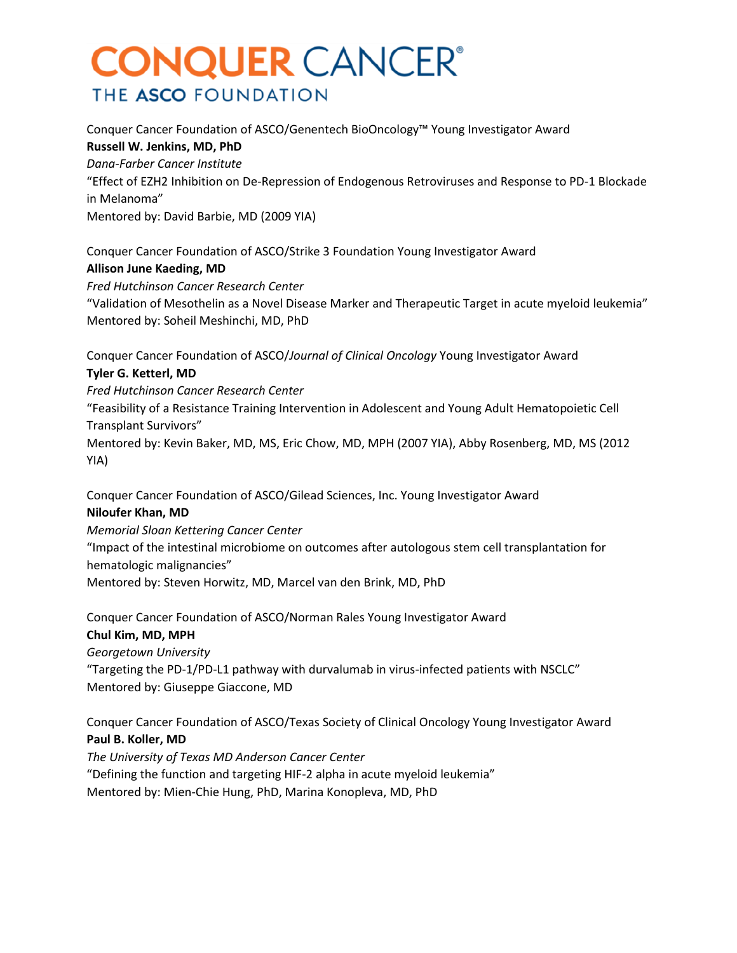Conquer Cancer Foundation of ASCO/Genentech BioOncology™ Young Investigator Award **Russell W. Jenkins, MD, PhD** *Dana-Farber Cancer Institute* "Effect of EZH2 Inhibition on De-Repression of Endogenous Retroviruses and Response to PD-1 Blockade in Melanoma" Mentored by: David Barbie, MD (2009 YIA)

Conquer Cancer Foundation of ASCO/Strike 3 Foundation Young Investigator Award **Allison June Kaeding, MD** *Fred Hutchinson Cancer Research Center*

"Validation of Mesothelin as a Novel Disease Marker and Therapeutic Target in acute myeloid leukemia" Mentored by: Soheil Meshinchi, MD, PhD

Conquer Cancer Foundation of ASCO/*Journal of Clinical Oncology* Young Investigator Award **Tyler G. Ketterl, MD**

*Fred Hutchinson Cancer Research Center* "Feasibility of a Resistance Training Intervention in Adolescent and Young Adult Hematopoietic Cell Transplant Survivors"

Mentored by: Kevin Baker, MD, MS, Eric Chow, MD, MPH (2007 YIA), Abby Rosenberg, MD, MS (2012 YIA)

Conquer Cancer Foundation of ASCO/Gilead Sciences, Inc. Young Investigator Award **Niloufer Khan, MD**

*Memorial Sloan Kettering Cancer Center* "Impact of the intestinal microbiome on outcomes after autologous stem cell transplantation for hematologic malignancies" Mentored by: Steven Horwitz, MD, Marcel van den Brink, MD, PhD

Conquer Cancer Foundation of ASCO/Norman Rales Young Investigator Award **Chul Kim, MD, MPH**

*Georgetown University* "Targeting the PD-1/PD-L1 pathway with durvalumab in virus-infected patients with NSCLC" Mentored by: Giuseppe Giaccone, MD

Conquer Cancer Foundation of ASCO/Texas Society of Clinical Oncology Young Investigator Award **Paul B. Koller, MD**

*The University of Texas MD Anderson Cancer Center* "Defining the function and targeting HIF-2 alpha in acute myeloid leukemia" Mentored by: Mien-Chie Hung, PhD, Marina Konopleva, MD, PhD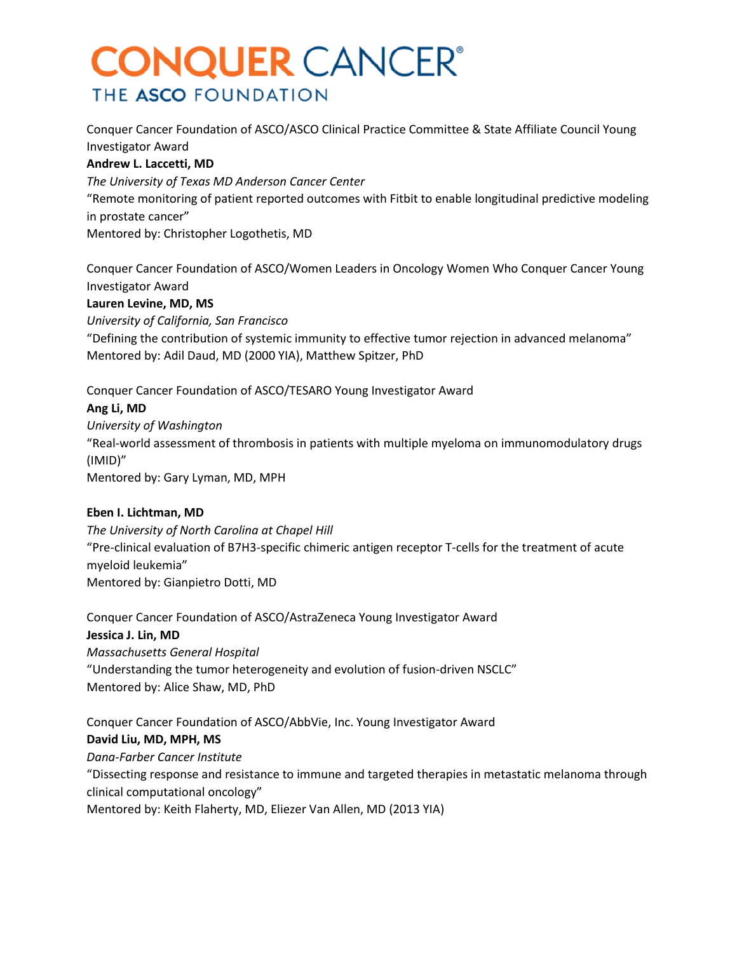Conquer Cancer Foundation of ASCO/ASCO Clinical Practice Committee & State Affiliate Council Young Investigator Award

#### **Andrew L. Laccetti, MD**

*The University of Texas MD Anderson Cancer Center* "Remote monitoring of patient reported outcomes with Fitbit to enable longitudinal predictive modeling

in prostate cancer"

Mentored by: Christopher Logothetis, MD

Conquer Cancer Foundation of ASCO/Women Leaders in Oncology Women Who Conquer Cancer Young Investigator Award

### **Lauren Levine, MD, MS**

*University of California, San Francisco*

"Defining the contribution of systemic immunity to effective tumor rejection in advanced melanoma" Mentored by: Adil Daud, MD (2000 YIA), Matthew Spitzer, PhD

Conquer Cancer Foundation of ASCO/TESARO Young Investigator Award

### **Ang Li, MD**

*University of Washington* "Real-world assessment of thrombosis in patients with multiple myeloma on immunomodulatory drugs (IMID)" Mentored by: Gary Lyman, MD, MPH

### **Eben I. Lichtman, MD**

*The University of North Carolina at Chapel Hill* "Pre-clinical evaluation of B7H3-specific chimeric antigen receptor T-cells for the treatment of acute myeloid leukemia" Mentored by: Gianpietro Dotti, MD

Conquer Cancer Foundation of ASCO/AstraZeneca Young Investigator Award **Jessica J. Lin, MD** *Massachusetts General Hospital* "Understanding the tumor heterogeneity and evolution of fusion-driven NSCLC" Mentored by: Alice Shaw, MD, PhD

Conquer Cancer Foundation of ASCO/AbbVie, Inc. Young Investigator Award **David Liu, MD, MPH, MS** *Dana-Farber Cancer Institute* "Dissecting response and resistance to immune and targeted therapies in metastatic melanoma through clinical computational oncology" Mentored by: Keith Flaherty, MD, Eliezer Van Allen, MD (2013 YIA)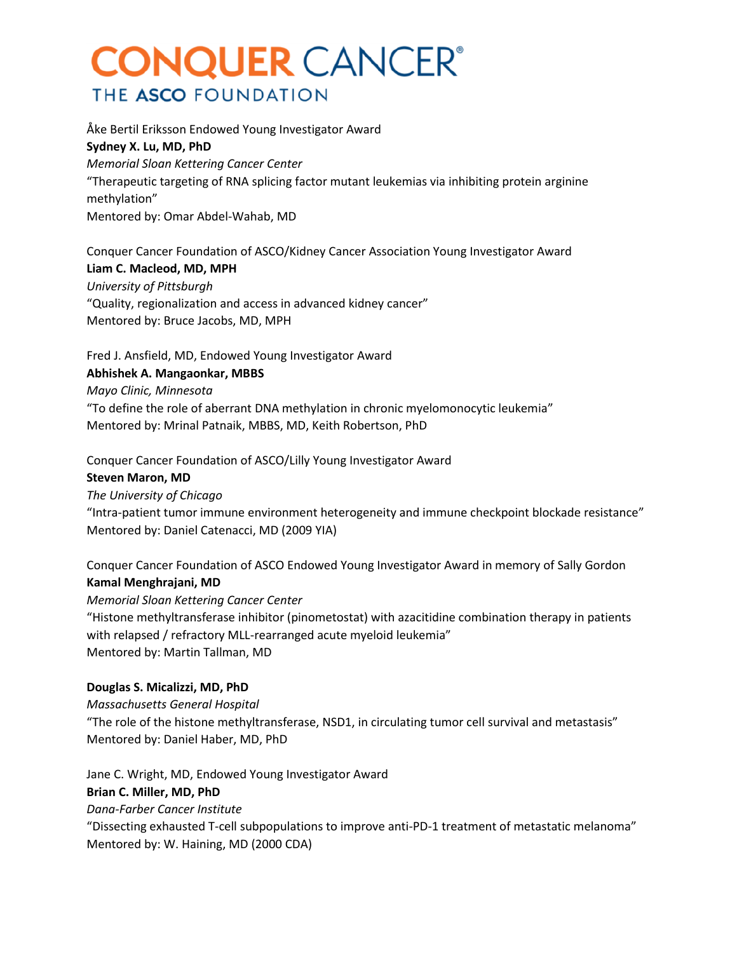Åke Bertil Eriksson Endowed Young Investigator Award **Sydney X. Lu, MD, PhD** *Memorial Sloan Kettering Cancer Center* "Therapeutic targeting of RNA splicing factor mutant leukemias via inhibiting protein arginine methylation" Mentored by: Omar Abdel-Wahab, MD

Conquer Cancer Foundation of ASCO/Kidney Cancer Association Young Investigator Award **Liam C. Macleod, MD, MPH** *University of Pittsburgh* "Quality, regionalization and access in advanced kidney cancer" Mentored by: Bruce Jacobs, MD, MPH

Fred J. Ansfield, MD, Endowed Young Investigator Award

### **Abhishek A. Mangaonkar, MBBS**

#### *Mayo Clinic, Minnesota*

"To define the role of aberrant DNA methylation in chronic myelomonocytic leukemia" Mentored by: Mrinal Patnaik, MBBS, MD, Keith Robertson, PhD

Conquer Cancer Foundation of ASCO/Lilly Young Investigator Award

#### **Steven Maron, MD**

*The University of Chicago* "Intra-patient tumor immune environment heterogeneity and immune checkpoint blockade resistance" Mentored by: Daniel Catenacci, MD (2009 YIA)

Conquer Cancer Foundation of ASCO Endowed Young Investigator Award in memory of Sally Gordon **Kamal Menghrajani, MD**

*Memorial Sloan Kettering Cancer Center* "Histone methyltransferase inhibitor (pinometostat) with azacitidine combination therapy in patients with relapsed / refractory MLL-rearranged acute myeloid leukemia" Mentored by: Martin Tallman, MD

#### **Douglas S. Micalizzi, MD, PhD**

*Massachusetts General Hospital* "The role of the histone methyltransferase, NSD1, in circulating tumor cell survival and metastasis" Mentored by: Daniel Haber, MD, PhD

Jane C. Wright, MD, Endowed Young Investigator Award **Brian C. Miller, MD, PhD** *Dana-Farber Cancer Institute* "Dissecting exhausted T-cell subpopulations to improve anti-PD-1 treatment of metastatic melanoma" Mentored by: W. Haining, MD (2000 CDA)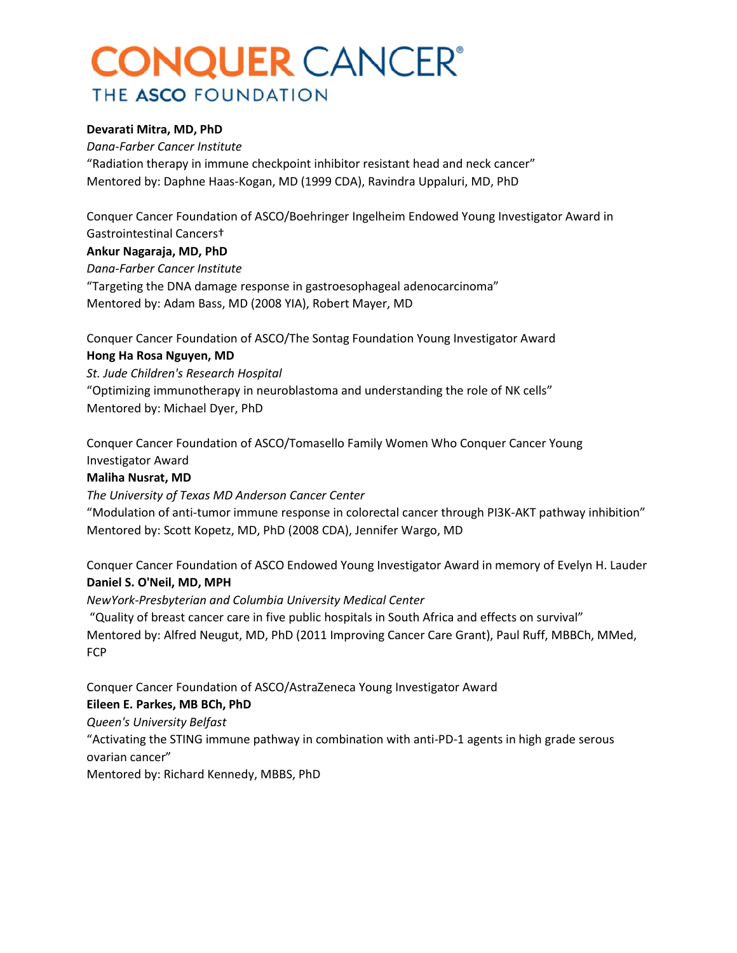#### **Devarati Mitra, MD, PhD**

*Dana-Farber Cancer Institute* "Radiation therapy in immune checkpoint inhibitor resistant head and neck cancer" Mentored by: Daphne Haas-Kogan, MD (1999 CDA), Ravindra Uppaluri, MD, PhD

Conquer Cancer Foundation of ASCO/Boehringer Ingelheim Endowed Young Investigator Award in Gastrointestinal Cancers†

#### **Ankur Nagaraja, MD, PhD**

*Dana-Farber Cancer Institute*

"Targeting the DNA damage response in gastroesophageal adenocarcinoma" Mentored by: Adam Bass, MD (2008 YIA), Robert Mayer, MD

Conquer Cancer Foundation of ASCO/The Sontag Foundation Young Investigator Award

### **Hong Ha Rosa Nguyen, MD**

*St. Jude Children's Research Hospital* "Optimizing immunotherapy in neuroblastoma and understanding the role of NK cells" Mentored by: Michael Dyer, PhD

Conquer Cancer Foundation of ASCO/Tomasello Family Women Who Conquer Cancer Young Investigator Award

#### **Maliha Nusrat, MD**

*The University of Texas MD Anderson Cancer Center*

"Modulation of anti-tumor immune response in colorectal cancer through PI3K-AKT pathway inhibition" Mentored by: Scott Kopetz, MD, PhD (2008 CDA), Jennifer Wargo, MD

Conquer Cancer Foundation of ASCO Endowed Young Investigator Award in memory of Evelyn H. Lauder **Daniel S. O'Neil, MD, MPH**

*NewYork-Presbyterian and Columbia University Medical Center*

"Quality of breast cancer care in five public hospitals in South Africa and effects on survival" Mentored by: Alfred Neugut, MD, PhD (2011 Improving Cancer Care Grant), Paul Ruff, MBBCh, MMed, FCP

Conquer Cancer Foundation of ASCO/AstraZeneca Young Investigator Award

#### **Eileen E. Parkes, MB BCh, PhD**

*Queen's University Belfast* "Activating the STING immune pathway in combination with anti-PD-1 agents in high grade serous ovarian cancer" Mentored by: Richard Kennedy, MBBS, PhD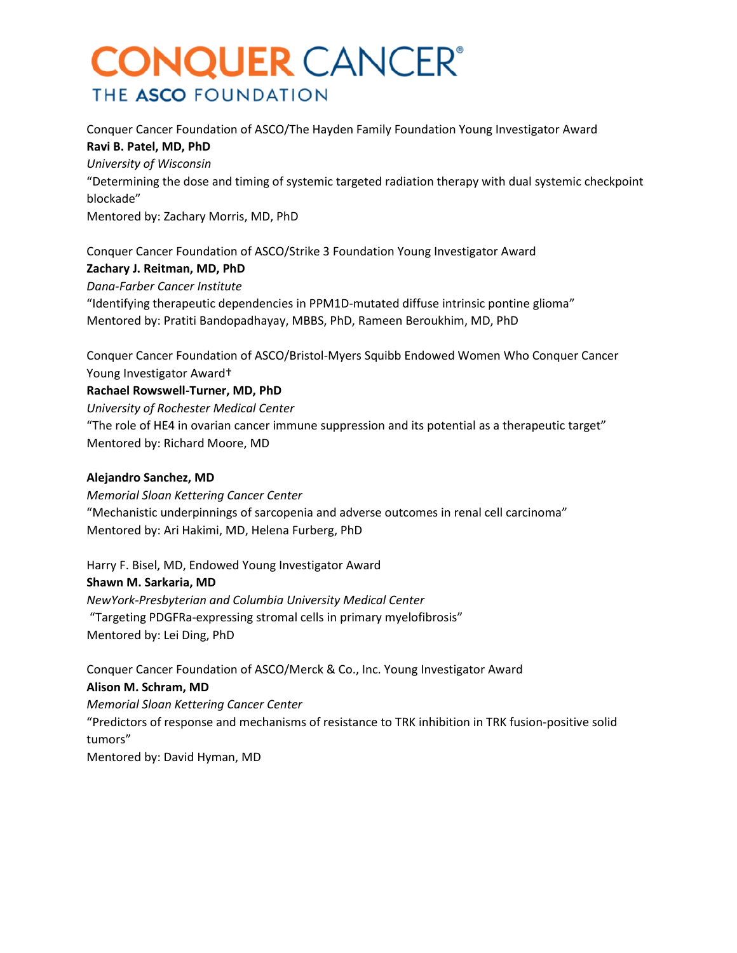Conquer Cancer Foundation of ASCO/The Hayden Family Foundation Young Investigator Award **Ravi B. Patel, MD, PhD** *University of Wisconsin* "Determining the dose and timing of systemic targeted radiation therapy with dual systemic checkpoint blockade" Mentored by: Zachary Morris, MD, PhD

Conquer Cancer Foundation of ASCO/Strike 3 Foundation Young Investigator Award **Zachary J. Reitman, MD, PhD** *Dana-Farber Cancer Institute* "Identifying therapeutic dependencies in PPM1D-mutated diffuse intrinsic pontine glioma" Mentored by: Pratiti Bandopadhayay, MBBS, PhD, Rameen Beroukhim, MD, PhD

Conquer Cancer Foundation of ASCO/Bristol-Myers Squibb Endowed Women Who Conquer Cancer Young Investigator Award†

**Rachael Rowswell-Turner, MD, PhD** *University of Rochester Medical Center* "The role of HE4 in ovarian cancer immune suppression and its potential as a therapeutic target" Mentored by: Richard Moore, MD

#### **Alejandro Sanchez, MD**

*Memorial Sloan Kettering Cancer Center* "Mechanistic underpinnings of sarcopenia and adverse outcomes in renal cell carcinoma" Mentored by: Ari Hakimi, MD, Helena Furberg, PhD

Harry F. Bisel, MD, Endowed Young Investigator Award **Shawn M. Sarkaria, MD** *NewYork-Presbyterian and Columbia University Medical Center* "Targeting PDGFRa-expressing stromal cells in primary myelofibrosis" Mentored by: Lei Ding, PhD

Conquer Cancer Foundation of ASCO/Merck & Co., Inc. Young Investigator Award **Alison M. Schram, MD** *Memorial Sloan Kettering Cancer Center* "Predictors of response and mechanisms of resistance to TRK inhibition in TRK fusion-positive solid tumors"

Mentored by: David Hyman, MD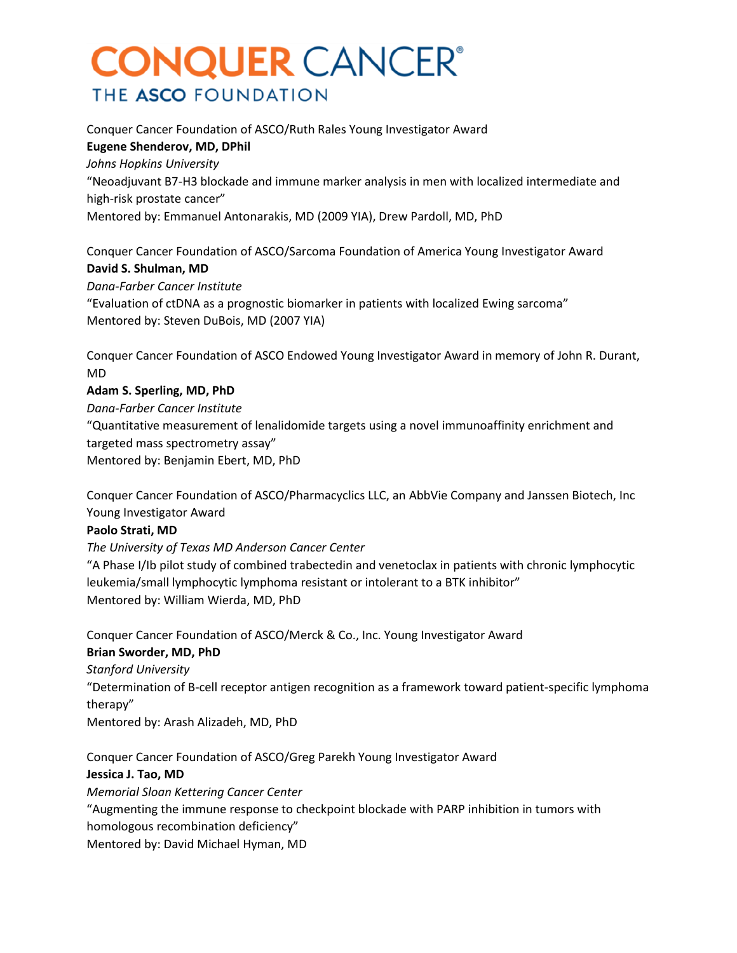Conquer Cancer Foundation of ASCO/Ruth Rales Young Investigator Award **Eugene Shenderov, MD, DPhil** *Johns Hopkins University* "Neoadjuvant B7-H3 blockade and immune marker analysis in men with localized intermediate and high-risk prostate cancer" Mentored by: Emmanuel Antonarakis, MD (2009 YIA), Drew Pardoll, MD, PhD

Conquer Cancer Foundation of ASCO/Sarcoma Foundation of America Young Investigator Award **David S. Shulman, MD**

*Dana-Farber Cancer Institute* "Evaluation of ctDNA as a prognostic biomarker in patients with localized Ewing sarcoma" Mentored by: Steven DuBois, MD (2007 YIA)

Conquer Cancer Foundation of ASCO Endowed Young Investigator Award in memory of John R. Durant, MD

#### **Adam S. Sperling, MD, PhD**

*Dana-Farber Cancer Institute* "Quantitative measurement of lenalidomide targets using a novel immunoaffinity enrichment and targeted mass spectrometry assay" Mentored by: Benjamin Ebert, MD, PhD

Conquer Cancer Foundation of ASCO/Pharmacyclics LLC, an AbbVie Company and Janssen Biotech, Inc Young Investigator Award

#### **Paolo Strati, MD**

*The University of Texas MD Anderson Cancer Center*

"A Phase I/Ib pilot study of combined trabectedin and venetoclax in patients with chronic lymphocytic leukemia/small lymphocytic lymphoma resistant or intolerant to a BTK inhibitor" Mentored by: William Wierda, MD, PhD

Conquer Cancer Foundation of ASCO/Merck & Co., Inc. Young Investigator Award

### **Brian Sworder, MD, PhD**

*Stanford University*

"Determination of B-cell receptor antigen recognition as a framework toward patient-specific lymphoma therapy"

Mentored by: Arash Alizadeh, MD, PhD

Conquer Cancer Foundation of ASCO/Greg Parekh Young Investigator Award

### **Jessica J. Tao, MD**

*Memorial Sloan Kettering Cancer Center* "Augmenting the immune response to checkpoint blockade with PARP inhibition in tumors with homologous recombination deficiency" Mentored by: David Michael Hyman, MD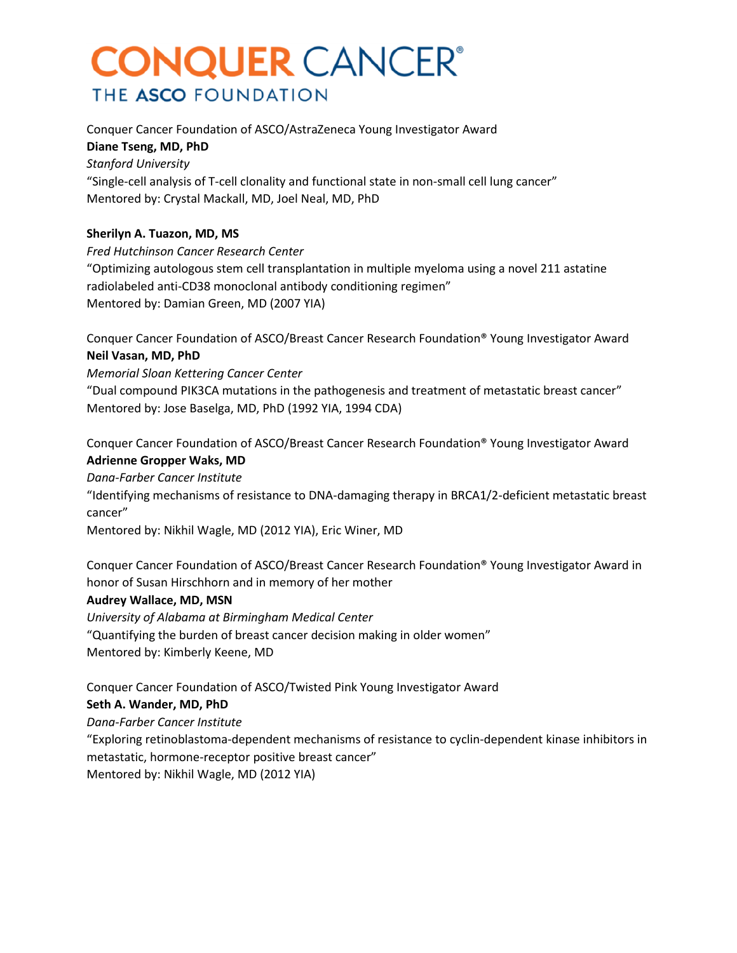Conquer Cancer Foundation of ASCO/AstraZeneca Young Investigator Award **Diane Tseng, MD, PhD** *Stanford University* "Single-cell analysis of T-cell clonality and functional state in non-small cell lung cancer"

Mentored by: Crystal Mackall, MD, Joel Neal, MD, PhD

#### **Sherilyn A. Tuazon, MD, MS**

*Fred Hutchinson Cancer Research Center* "Optimizing autologous stem cell transplantation in multiple myeloma using a novel 211 astatine radiolabeled anti-CD38 monoclonal antibody conditioning regimen" Mentored by: Damian Green, MD (2007 YIA)

Conquer Cancer Foundation of ASCO/Breast Cancer Research Foundation® Young Investigator Award **Neil Vasan, MD, PhD**

*Memorial Sloan Kettering Cancer Center*

"Dual compound PIK3CA mutations in the pathogenesis and treatment of metastatic breast cancer" Mentored by: Jose Baselga, MD, PhD (1992 YIA, 1994 CDA)

Conquer Cancer Foundation of ASCO/Breast Cancer Research Foundation® Young Investigator Award **Adrienne Gropper Waks, MD**

*Dana-Farber Cancer Institute*

"Identifying mechanisms of resistance to DNA-damaging therapy in BRCA1/2-deficient metastatic breast cancer"

Mentored by: Nikhil Wagle, MD (2012 YIA), Eric Winer, MD

Conquer Cancer Foundation of ASCO/Breast Cancer Research Foundation® Young Investigator Award in honor of Susan Hirschhorn and in memory of her mother

#### **Audrey Wallace, MD, MSN**

*University of Alabama at Birmingham Medical Center* "Quantifying the burden of breast cancer decision making in older women" Mentored by: Kimberly Keene, MD

Conquer Cancer Foundation of ASCO/Twisted Pink Young Investigator Award

#### **Seth A. Wander, MD, PhD**

*Dana-Farber Cancer Institute*

"Exploring retinoblastoma-dependent mechanisms of resistance to cyclin-dependent kinase inhibitors in metastatic, hormone-receptor positive breast cancer"

Mentored by: Nikhil Wagle, MD (2012 YIA)